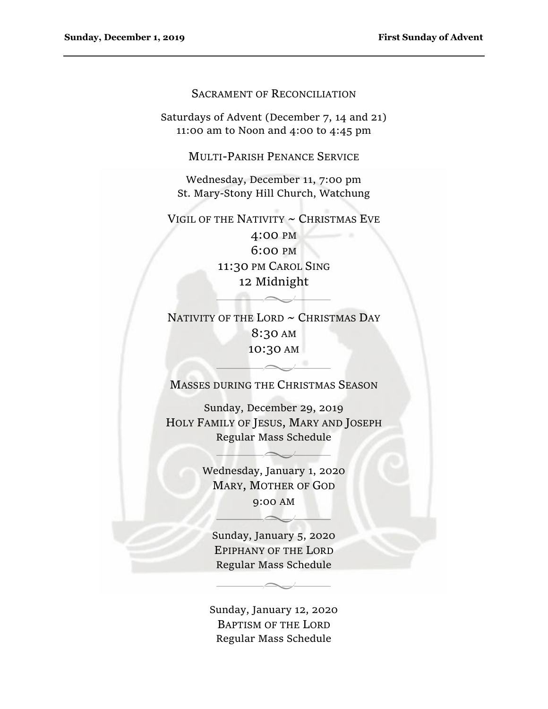#### SACRAMENT OF RECONCILIATION

Saturdays of Advent (December 7, 14 and 21) 11:00 am to Noon and 4:00 to 4:45 pm

MULTI-PARISH PENANCE SERVICE

Wednesday, December 11, 7:00 pm St. Mary-Stony Hill Church, Watchung

VIGIL OF THE NATIVITY ~ CHRISTMAS EVE

4:00 PM 6:00 PM 11:30 PM CAROL SING 12 Midnight

NATIVITY OF THE LORD ~ CHRISTMAS DAY 8:30 AM 10:30 AM

MASSES DURING THE CHRISTMAS SEASON

 $\overline{\phantom{a}}$ 

Sunday, December 29, 2019 HOLY FAMILY OF JESUS, MARY AND JOSEPH Regular Mass Schedule

> Wednesday, January 1, 2020 MARY, MOTHER OF GOD 9:00 AM

Sunday, January 5, 2020 EPIPHANY OF THE LORD Regular Mass Schedule

Sunday, January 12, 2020 BAPTISM OF THE LORD Regular Mass Schedule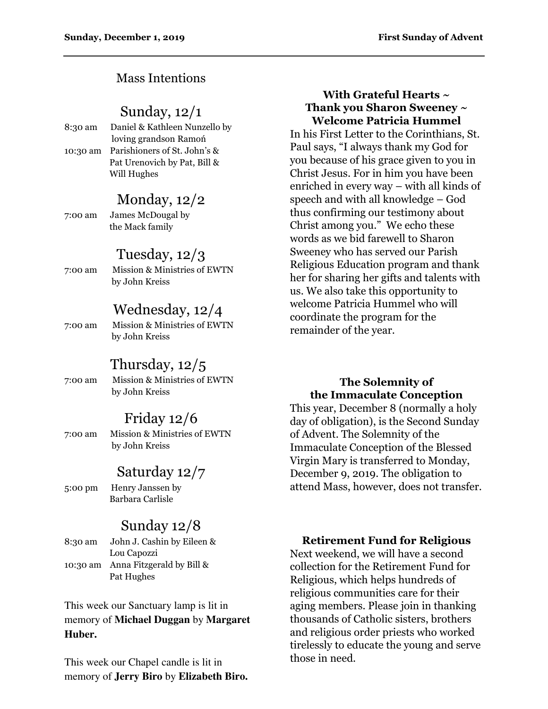## Mass Intentions

## Sunday, 12/1

| 8:30 am | Daniel & Kathleen Nunzello by         |
|---------|---------------------------------------|
|         | loving grandson Ramoń                 |
|         | 10:30 am Parishioners of St. John's & |
|         | Pat Urenovich by Pat, Bill &          |
|         | Will Hughes                           |

## Monday, 12/2

7:00 am James McDougal by the Mack family

## Tuesday, 12/3

7:00 am Mission & Ministries of EWTN by John Kreiss

# Wednesday, 12/4

7:00 am Mission & Ministries of EWTN by John Kreiss

# Thursday, 12/5

7:00 am Mission & Ministries of EWTN by John Kreiss

# Friday 12/6

7:00 am Mission & Ministries of EWTN by John Kreiss

## Saturday 12/7

5:00 pm Henry Janssen by Barbara Carlisle

# Sunday 12/8

8:30 am John J. Cashin by Eileen & Lou Capozzi 10:30 am Anna Fitzgerald by Bill & Pat Hughes

This week our Sanctuary lamp is lit in memory of **Michael Duggan** by **Margaret Huber.** 

This week our Chapel candle is lit in memory of **Jerry Biro** by **Elizabeth Biro.**

#### **With Grateful Hearts ~ Thank you Sharon Sweeney ~ Welcome Patricia Hummel**

In his First Letter to the Corinthians, St. Paul says, "I always thank my God for you because of his grace given to you in Christ Jesus. For in him you have been enriched in every way – with all kinds of speech and with all knowledge – God thus confirming our testimony about Christ among you." We echo these words as we bid farewell to Sharon Sweeney who has served our Parish Religious Education program and thank her for sharing her gifts and talents with us. We also take this opportunity to welcome Patricia Hummel who will coordinate the program for the remainder of the year.

### **The Solemnity of the Immaculate Conception**

This year, December 8 (normally a holy day of obligation), is the Second Sunday of Advent. The Solemnity of the Immaculate Conception of the Blessed Virgin Mary is transferred to Monday, December 9, 2019. The obligation to attend Mass, however, does not transfer.

### **Retirement Fund for Religious**

Next weekend, we will have a second collection for the Retirement Fund for Religious, which helps hundreds of religious communities care for their aging members. Please join in thanking thousands of Catholic sisters, brothers and religious order priests who worked tirelessly to educate the young and serve those in need.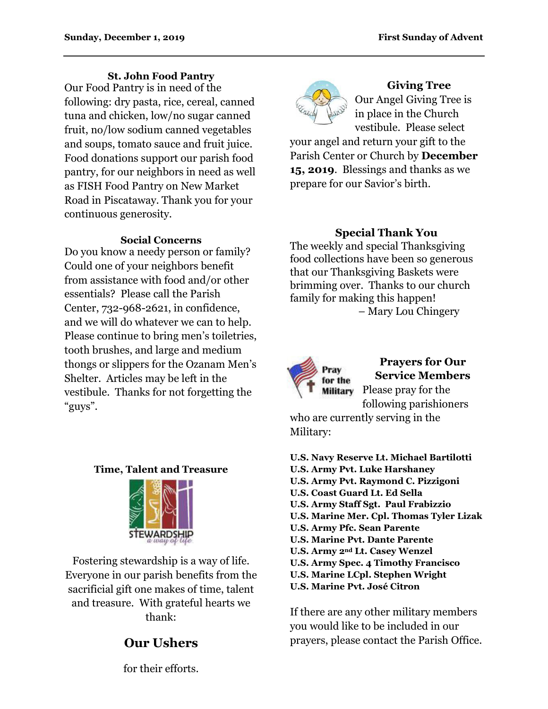#### **St. John Food Pantry**

Our Food Pantry is in need of the following: dry pasta, rice, cereal, canned tuna and chicken, low/no sugar canned fruit, no/low sodium canned vegetables and soups, tomato sauce and fruit juice. Food donations support our parish food pantry, for our neighbors in need as well as FISH Food Pantry on New Market Road in Piscataway. Thank you for your continuous generosity.

#### **Social Concerns**

Do you know a needy person or family? Could one of your neighbors benefit from assistance with food and/or other essentials? Please call the Parish Center, 732-968-2621, in confidence, and we will do whatever we can to help. Please continue to bring men's toiletries, tooth brushes, and large and medium thongs or slippers for the Ozanam Men's Shelter. Articles may be left in the vestibule. Thanks for not forgetting the "guys".

#### **Time, Talent and Treasure**



Fostering stewardship is a way of life. Everyone in our parish benefits from the sacrificial gift one makes of time, talent and treasure. With grateful hearts we thank:

## **Our Ushers**

**Giving Tree** Our Angel Giving Tree is in place in the Church vestibule. Please select

your angel and return your gift to the Parish Center or Church by **December 15, 2019**. Blessings and thanks as we prepare for our Savior's birth.

## **Special Thank You**

The weekly and special Thanksgiving food collections have been so generous that our Thanksgiving Baskets were brimming over. Thanks to our church family for making this happen! – Mary Lou Chingery



### **Prayers for Our Service Members**  Please pray for the

following parishioners

who are currently serving in the Military:

- **U.S. Navy Reserve Lt. Michael Bartilotti**
- **U.S. Army Pvt. Luke Harshaney**
- **U.S. Army Pvt. Raymond C. Pizzigoni**
- **U.S. Coast Guard Lt. Ed Sella**
- **U.S. Army Staff Sgt. Paul Frabizzio**
- **U.S. Marine Mer. Cpl. Thomas Tyler Lizak**
- **U.S. Army Pfc. Sean Parente**
- **U.S. Marine Pvt. Dante Parente**
- **U.S. Army 2nd Lt. Casey Wenzel**
- **U.S. Army Spec. 4 Timothy Francisco**
- **U.S. Marine LCpl. Stephen Wright**
- **U.S. Marine Pvt. José Citron**

If there are any other military members you would like to be included in our prayers, please contact the Parish Office.

for their efforts.